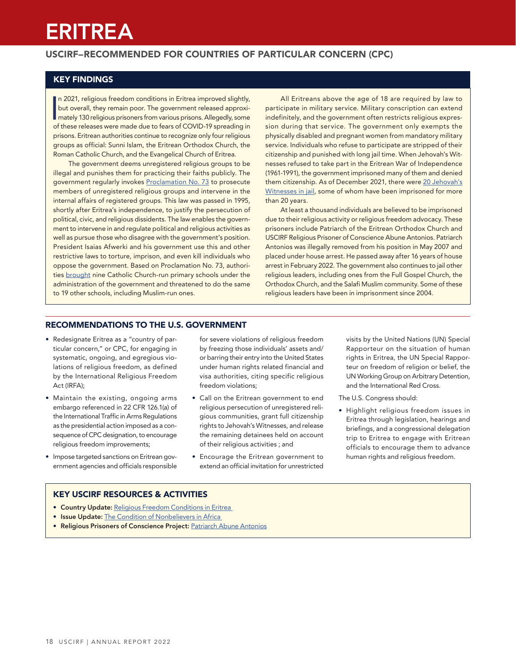# ERITREA

# USCIRF–RECOMMENDED FOR COUNTRIES OF PARTICULAR CONCERN (CPC)

# KEY FINDINGS

In 2021, religious freedom conditions in Eritrea improved slightly,<br>but overall, they remain poor. The government released approximately 130 religious prisoners from various prisons. Allegedly, some<br>of these releases were n 2021, religious freedom conditions in Eritrea improved slightly, but overall, they remain poor. The government released approxiof these releases were made due to fears of COVID-19 spreading in prisons. Eritrean authorities continue to recognize only four religious groups as official: Sunni Islam, the Eritrean Orthodox Church, the Roman Catholic Church, and the Evangelical Church of Eritrea.

The government deems unregistered religious groups to be illegal and punishes them for practicing their faiths publicly. The government regularly invokes [Proclamation No. 73](https://www.refworld.org/docid/48aec42b2.html) to prosecute members of unregistered religious groups and intervene in the internal affairs of registered groups. This law was passed in 1995, shortly after Eritrea's independence, to justify the persecution of political, civic, and religious dissidents. The law enables the government to intervene in and regulate political and religious activities as well as pursue those who disagree with the government's position. President Isaias Afwerki and his government use this and other restrictive laws to torture, imprison, and even kill individuals who oppose the government. Based on Proclamation No. 73, authorities [brought](https://www.vaticannews.va/en/africa/news/2021-06/eritrea-bishops-criticise-the-nationalisation-of-catholic-schoo.html) nine Catholic Church-run primary schools under the administration of the government and threatened to do the same to 19 other schools, including Muslim-run ones.

All Eritreans above the age of 18 are required by law to participate in military service. Military conscription can extend indefinitely, and the government often restricts religious expression during that service. The government only exempts the physically disabled and pregnant women from mandatory military service. Individuals who refuse to participate are stripped of their citizenship and punished with long jail time. When Jehovah's Witnesses refused to take part in the Eritrean War of Independence (1961-1991), the government imprisoned many of them and denied them citizenship. As of December 2021, there were [20 Jehovah's](https://www.jw.org/en/news/legal/by-region/eritrea/jehovahs-witnesses-in-prison/)  [Witnesses in jail](https://www.jw.org/en/news/legal/by-region/eritrea/jehovahs-witnesses-in-prison/), some of whom have been imprisoned for more than 20 years.

At least a thousand individuals are believed to be imprisoned due to their religious activity or religious freedom advocacy. These prisoners include Patriarch of the Eritrean Orthodox Church and USCIRF Religious Prisoner of Conscience Abune Antonios. Patriarch Antonios was illegally removed from his position in May 2007 and placed under house arrest. He passed away after 16 years of house arrest in February 2022. The government also continues to jail other religious leaders, including ones from the Full Gospel Church, the Orthodox Church, and the Salafi Muslim community. Some of these religious leaders have been in imprisonment since 2004.

#### RECOMMENDATIONS TO THE U.S. GOVERNMENT

- Redesignate Eritrea as a "country of particular concern," or CPC, for engaging in systematic, ongoing, and egregious violations of religious freedom, as defined by the International Religious Freedom Act (IRFA);
- Maintain the existing, ongoing arms embargo referenced in 22 CFR 126.1(a) of the International Traffic in Arms Regulations as the presidential action imposed as a consequence of CPC designation, to encourage religious freedom improvements;
- Impose targeted sanctions on Eritrean government agencies and officials responsible

for severe violations of religious freedom by freezing those individuals' assets and/ or barring their entry into the United States under human rights related financial and visa authorities, citing specific religious freedom violations;

- Call on the Eritrean government to end religious persecution of unregistered religious communities, grant full citizenship rights to Jehovah's Witnesses, and release the remaining detainees held on account of their religious activities ; and
- Encourage the Eritrean government to extend an official invitation for unrestricted

visits by the United Nations (UN) Special Rapporteur on the situation of human rights in Eritrea, the UN Special Rapporteur on freedom of religion or belief, the UN Working Group on Arbitrary Detention, and the International Red Cross.

The U.S. Congress should:

• Highlight religious freedom issues in Eritrea through legislation, hearings and briefings, and a congressional delegation trip to Eritrea to engage with Eritrean officials to encourage them to advance human rights and religious freedom.

#### KEY USCIRF RESOURCES & ACTIVITIES

- Country Update: [Religious Freedom Conditions in Eritrea](https://www.uscirf.gov/publications/eritrea-country-update)
- Issue Update: [The Condition of Nonbelievers in Africa](https://www.uscirf.gov/sites/default/files/2021-07/2021%20Factsheet%20-%20Nonbelievers.pdf)
- Religious Prisoners of Conscience Project: [Patriarch Abune Antonios](https://www.uscirf.gov/religious-prisoners-conscience/released-rpocs/patriarch-abune-antonios)